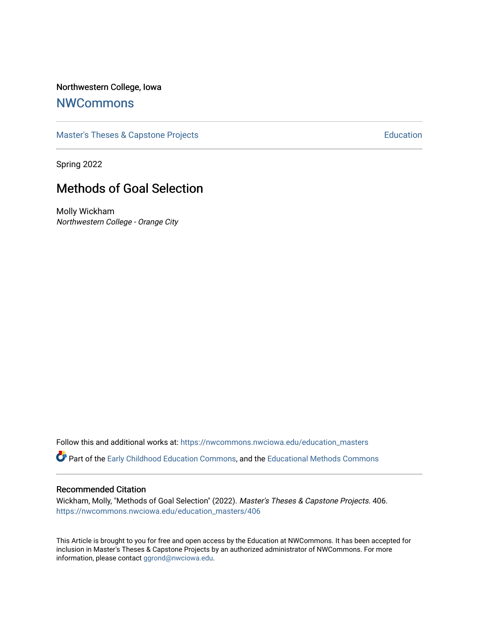## Northwestern College, Iowa

## **[NWCommons](https://nwcommons.nwciowa.edu/)**

[Master's Theses & Capstone Projects](https://nwcommons.nwciowa.edu/education_masters) **Education** Education

Spring 2022

# Methods of Goal Selection

Molly Wickham Northwestern College - Orange City

Follow this and additional works at: [https://nwcommons.nwciowa.edu/education\\_masters](https://nwcommons.nwciowa.edu/education_masters?utm_source=nwcommons.nwciowa.edu%2Feducation_masters%2F406&utm_medium=PDF&utm_campaign=PDFCoverPages)

Part of the [Early Childhood Education Commons,](https://network.bepress.com/hgg/discipline/1377?utm_source=nwcommons.nwciowa.edu%2Feducation_masters%2F406&utm_medium=PDF&utm_campaign=PDFCoverPages) and the [Educational Methods Commons](https://network.bepress.com/hgg/discipline/1227?utm_source=nwcommons.nwciowa.edu%2Feducation_masters%2F406&utm_medium=PDF&utm_campaign=PDFCoverPages)

#### Recommended Citation

Wickham, Molly, "Methods of Goal Selection" (2022). Master's Theses & Capstone Projects. 406. [https://nwcommons.nwciowa.edu/education\\_masters/406](https://nwcommons.nwciowa.edu/education_masters/406?utm_source=nwcommons.nwciowa.edu%2Feducation_masters%2F406&utm_medium=PDF&utm_campaign=PDFCoverPages)

This Article is brought to you for free and open access by the Education at NWCommons. It has been accepted for inclusion in Master's Theses & Capstone Projects by an authorized administrator of NWCommons. For more information, please contact [ggrond@nwciowa.edu](mailto:ggrond@nwciowa.edu).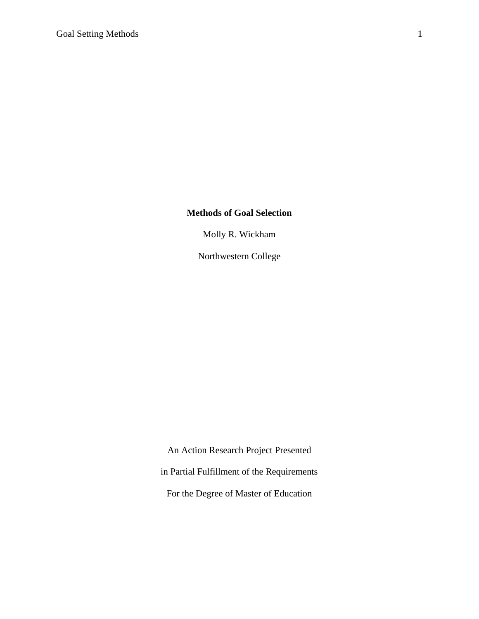## **Methods of Goal Selection**

Molly R. Wickham

Northwestern College

An Action Research Project Presented in Partial Fulfillment of the Requirements For the Degree of Master of Education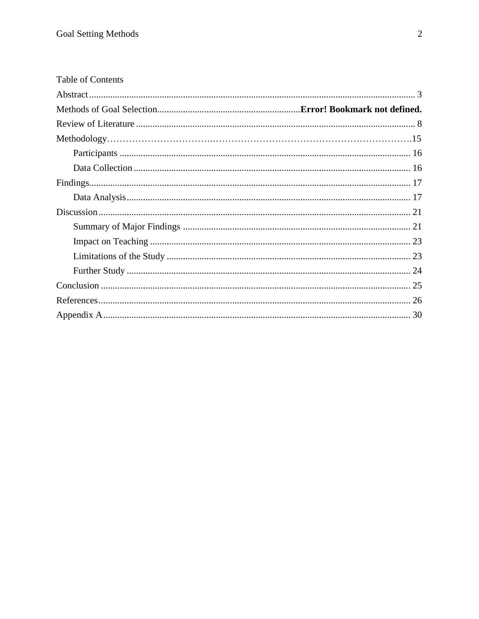| Table of Contents |  |
|-------------------|--|
|                   |  |
|                   |  |
|                   |  |
|                   |  |
|                   |  |
|                   |  |
|                   |  |
|                   |  |
|                   |  |
|                   |  |
|                   |  |
|                   |  |
|                   |  |
|                   |  |
|                   |  |
|                   |  |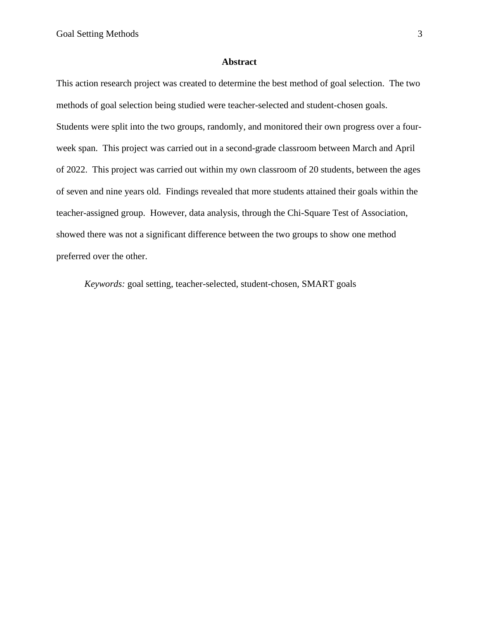#### **Abstract**

<span id="page-3-0"></span>This action research project was created to determine the best method of goal selection. The two methods of goal selection being studied were teacher-selected and student-chosen goals. Students were split into the two groups, randomly, and monitored their own progress over a fourweek span. This project was carried out in a second-grade classroom between March and April of 2022. This project was carried out within my own classroom of 20 students, between the ages of seven and nine years old. Findings revealed that more students attained their goals within the teacher-assigned group. However, data analysis, through the Chi-Square Test of Association, showed there was not a significant difference between the two groups to show one method preferred over the other.

*Keywords:* goal setting, teacher-selected, student-chosen, SMART goals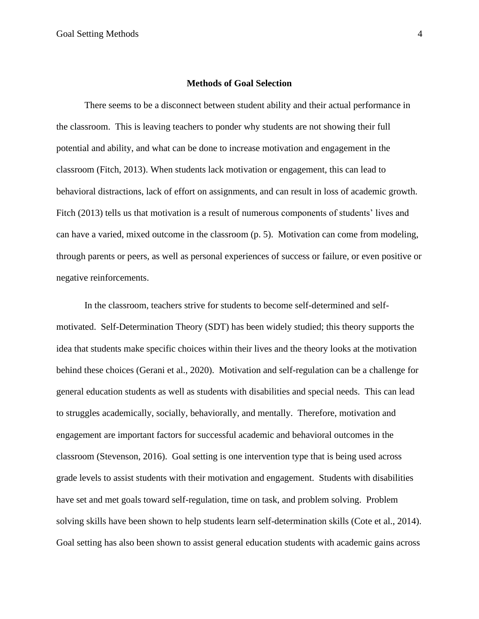#### **Methods of Goal Selection**

There seems to be a disconnect between student ability and their actual performance in the classroom. This is leaving teachers to ponder why students are not showing their full potential and ability, and what can be done to increase motivation and engagement in the classroom (Fitch, 2013). When students lack motivation or engagement, this can lead to behavioral distractions, lack of effort on assignments, and can result in loss of academic growth. Fitch (2013) tells us that motivation is a result of numerous components of students' lives and can have a varied, mixed outcome in the classroom (p. 5). Motivation can come from modeling, through parents or peers, as well as personal experiences of success or failure, or even positive or negative reinforcements.

In the classroom, teachers strive for students to become self-determined and selfmotivated. Self-Determination Theory (SDT) has been widely studied; this theory supports the idea that students make specific choices within their lives and the theory looks at the motivation behind these choices (Gerani et al., 2020). Motivation and self-regulation can be a challenge for general education students as well as students with disabilities and special needs. This can lead to struggles academically, socially, behaviorally, and mentally. Therefore, motivation and engagement are important factors for successful academic and behavioral outcomes in the classroom (Stevenson, 2016). Goal setting is one intervention type that is being used across grade levels to assist students with their motivation and engagement. Students with disabilities have set and met goals toward self-regulation, time on task, and problem solving. Problem solving skills have been shown to help students learn self-determination skills (Cote et al., 2014). Goal setting has also been shown to assist general education students with academic gains across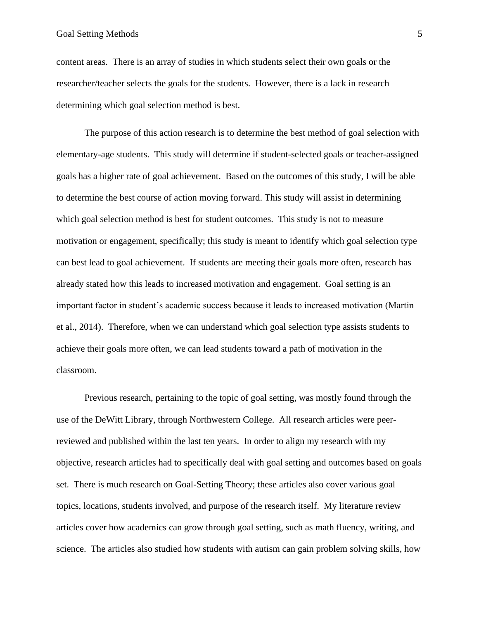#### Goal Setting Methods 5

content areas. There is an array of studies in which students select their own goals or the researcher/teacher selects the goals for the students. However, there is a lack in research determining which goal selection method is best.

The purpose of this action research is to determine the best method of goal selection with elementary-age students. This study will determine if student-selected goals or teacher-assigned goals has a higher rate of goal achievement. Based on the outcomes of this study, I will be able to determine the best course of action moving forward. This study will assist in determining which goal selection method is best for student outcomes. This study is not to measure motivation or engagement, specifically; this study is meant to identify which goal selection type can best lead to goal achievement. If students are meeting their goals more often, research has already stated how this leads to increased motivation and engagement. Goal setting is an important factor in student's academic success because it leads to increased motivation (Martin et al., 2014). Therefore, when we can understand which goal selection type assists students to achieve their goals more often, we can lead students toward a path of motivation in the classroom.

Previous research, pertaining to the topic of goal setting, was mostly found through the use of the DeWitt Library, through Northwestern College. All research articles were peerreviewed and published within the last ten years. In order to align my research with my objective, research articles had to specifically deal with goal setting and outcomes based on goals set. There is much research on Goal-Setting Theory; these articles also cover various goal topics, locations, students involved, and purpose of the research itself. My literature review articles cover how academics can grow through goal setting, such as math fluency, writing, and science. The articles also studied how students with autism can gain problem solving skills, how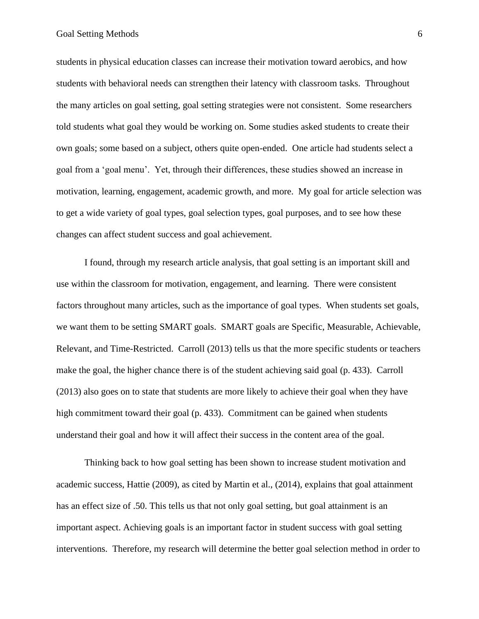students in physical education classes can increase their motivation toward aerobics, and how students with behavioral needs can strengthen their latency with classroom tasks. Throughout the many articles on goal setting, goal setting strategies were not consistent. Some researchers told students what goal they would be working on. Some studies asked students to create their own goals; some based on a subject, others quite open-ended. One article had students select a goal from a 'goal menu'. Yet, through their differences, these studies showed an increase in motivation, learning, engagement, academic growth, and more. My goal for article selection was to get a wide variety of goal types, goal selection types, goal purposes, and to see how these changes can affect student success and goal achievement.

I found, through my research article analysis, that goal setting is an important skill and use within the classroom for motivation, engagement, and learning. There were consistent factors throughout many articles, such as the importance of goal types. When students set goals, we want them to be setting SMART goals. SMART goals are Specific, Measurable, Achievable, Relevant, and Time-Restricted. Carroll (2013) tells us that the more specific students or teachers make the goal, the higher chance there is of the student achieving said goal (p. 433). Carroll (2013) also goes on to state that students are more likely to achieve their goal when they have high commitment toward their goal (p. 433). Commitment can be gained when students understand their goal and how it will affect their success in the content area of the goal.

Thinking back to how goal setting has been shown to increase student motivation and academic success, Hattie (2009), as cited by Martin et al., (2014), explains that goal attainment has an effect size of .50. This tells us that not only goal setting, but goal attainment is an important aspect. Achieving goals is an important factor in student success with goal setting interventions. Therefore, my research will determine the better goal selection method in order to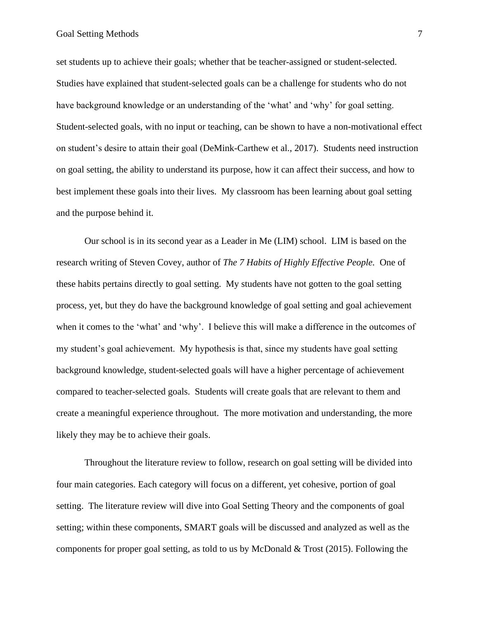set students up to achieve their goals; whether that be teacher-assigned or student-selected. Studies have explained that student-selected goals can be a challenge for students who do not have background knowledge or an understanding of the 'what' and 'why' for goal setting. Student-selected goals, with no input or teaching, can be shown to have a non-motivational effect on student's desire to attain their goal (DeMink-Carthew et al., 2017). Students need instruction on goal setting, the ability to understand its purpose, how it can affect their success, and how to best implement these goals into their lives. My classroom has been learning about goal setting and the purpose behind it.

Our school is in its second year as a Leader in Me (LIM) school. LIM is based on the research writing of Steven Covey, author of *The 7 Habits of Highly Effective People.* One of these habits pertains directly to goal setting. My students have not gotten to the goal setting process, yet, but they do have the background knowledge of goal setting and goal achievement when it comes to the 'what' and 'why'. I believe this will make a difference in the outcomes of my student's goal achievement. My hypothesis is that, since my students have goal setting background knowledge, student-selected goals will have a higher percentage of achievement compared to teacher-selected goals. Students will create goals that are relevant to them and create a meaningful experience throughout. The more motivation and understanding, the more likely they may be to achieve their goals.

Throughout the literature review to follow, research on goal setting will be divided into four main categories. Each category will focus on a different, yet cohesive, portion of goal setting. The literature review will dive into Goal Setting Theory and the components of goal setting; within these components, SMART goals will be discussed and analyzed as well as the components for proper goal setting, as told to us by McDonald & Trost (2015). Following the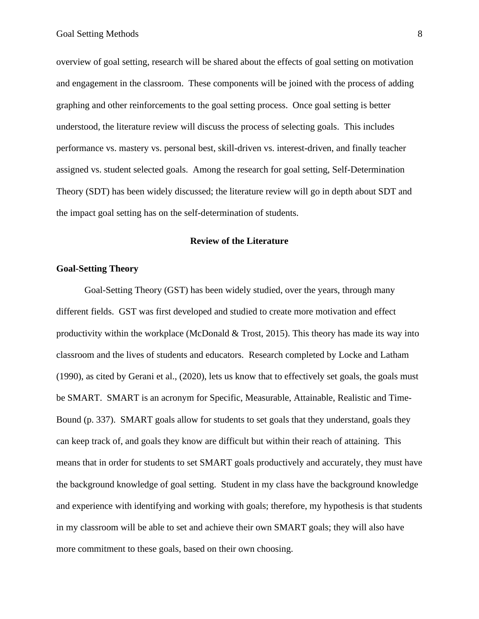overview of goal setting, research will be shared about the effects of goal setting on motivation and engagement in the classroom. These components will be joined with the process of adding graphing and other reinforcements to the goal setting process. Once goal setting is better understood, the literature review will discuss the process of selecting goals. This includes performance vs. mastery vs. personal best, skill-driven vs. interest-driven, and finally teacher assigned vs. student selected goals. Among the research for goal setting, Self-Determination Theory (SDT) has been widely discussed; the literature review will go in depth about SDT and the impact goal setting has on the self-determination of students.

## **Review of the Literature**

#### **Goal-Setting Theory**

Goal-Setting Theory (GST) has been widely studied, over the years, through many different fields. GST was first developed and studied to create more motivation and effect productivity within the workplace (McDonald & Trost, 2015). This theory has made its way into classroom and the lives of students and educators. Research completed by Locke and Latham (1990), as cited by Gerani et al., (2020), lets us know that to effectively set goals, the goals must be SMART. SMART is an acronym for Specific, Measurable, Attainable, Realistic and Time-Bound (p. 337). SMART goals allow for students to set goals that they understand, goals they can keep track of, and goals they know are difficult but within their reach of attaining. This means that in order for students to set SMART goals productively and accurately, they must have the background knowledge of goal setting. Student in my class have the background knowledge and experience with identifying and working with goals; therefore, my hypothesis is that students in my classroom will be able to set and achieve their own SMART goals; they will also have more commitment to these goals, based on their own choosing.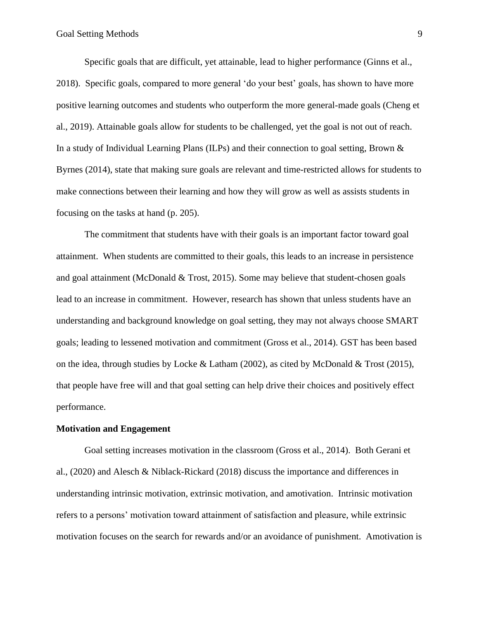Specific goals that are difficult, yet attainable, lead to higher performance (Ginns et al., 2018). Specific goals, compared to more general 'do your best' goals, has shown to have more positive learning outcomes and students who outperform the more general-made goals (Cheng et al., 2019). Attainable goals allow for students to be challenged, yet the goal is not out of reach. In a study of Individual Learning Plans (ILPs) and their connection to goal setting, Brown & Byrnes (2014), state that making sure goals are relevant and time-restricted allows for students to make connections between their learning and how they will grow as well as assists students in focusing on the tasks at hand (p. 205).

The commitment that students have with their goals is an important factor toward goal attainment. When students are committed to their goals, this leads to an increase in persistence and goal attainment (McDonald & Trost, 2015). Some may believe that student-chosen goals lead to an increase in commitment. However, research has shown that unless students have an understanding and background knowledge on goal setting, they may not always choose SMART goals; leading to lessened motivation and commitment (Gross et al., 2014). GST has been based on the idea, through studies by Locke & Latham (2002), as cited by McDonald & Trost (2015), that people have free will and that goal setting can help drive their choices and positively effect performance.

#### **Motivation and Engagement**

Goal setting increases motivation in the classroom (Gross et al., 2014). Both Gerani et al., (2020) and Alesch & Niblack-Rickard (2018) discuss the importance and differences in understanding intrinsic motivation, extrinsic motivation, and amotivation. Intrinsic motivation refers to a persons' motivation toward attainment of satisfaction and pleasure, while extrinsic motivation focuses on the search for rewards and/or an avoidance of punishment. Amotivation is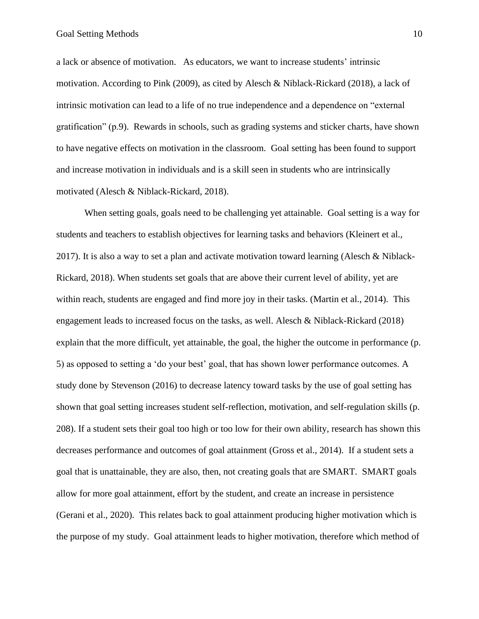a lack or absence of motivation. As educators, we want to increase students' intrinsic motivation. According to Pink (2009), as cited by Alesch & Niblack-Rickard (2018), a lack of intrinsic motivation can lead to a life of no true independence and a dependence on "external gratification" (p.9). Rewards in schools, such as grading systems and sticker charts, have shown to have negative effects on motivation in the classroom. Goal setting has been found to support and increase motivation in individuals and is a skill seen in students who are intrinsically motivated (Alesch & Niblack-Rickard, 2018).

When setting goals, goals need to be challenging yet attainable. Goal setting is a way for students and teachers to establish objectives for learning tasks and behaviors (Kleinert et al., 2017). It is also a way to set a plan and activate motivation toward learning (Alesch & Niblack-Rickard, 2018). When students set goals that are above their current level of ability, yet are within reach, students are engaged and find more joy in their tasks. (Martin et al., 2014). This engagement leads to increased focus on the tasks, as well. Alesch & Niblack-Rickard (2018) explain that the more difficult, yet attainable, the goal, the higher the outcome in performance (p. 5) as opposed to setting a 'do your best' goal, that has shown lower performance outcomes. A study done by Stevenson (2016) to decrease latency toward tasks by the use of goal setting has shown that goal setting increases student self-reflection, motivation, and self-regulation skills (p. 208). If a student sets their goal too high or too low for their own ability, research has shown this decreases performance and outcomes of goal attainment (Gross et al., 2014). If a student sets a goal that is unattainable, they are also, then, not creating goals that are SMART. SMART goals allow for more goal attainment, effort by the student, and create an increase in persistence (Gerani et al., 2020). This relates back to goal attainment producing higher motivation which is the purpose of my study. Goal attainment leads to higher motivation, therefore which method of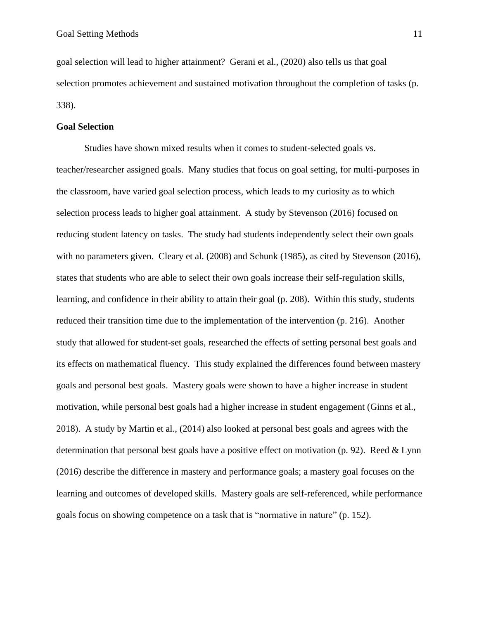goal selection will lead to higher attainment? Gerani et al., (2020) also tells us that goal selection promotes achievement and sustained motivation throughout the completion of tasks (p. 338).

#### **Goal Selection**

Studies have shown mixed results when it comes to student-selected goals vs. teacher/researcher assigned goals. Many studies that focus on goal setting, for multi-purposes in the classroom, have varied goal selection process, which leads to my curiosity as to which selection process leads to higher goal attainment. A study by Stevenson (2016) focused on reducing student latency on tasks. The study had students independently select their own goals with no parameters given. Cleary et al. (2008) and Schunk (1985), as cited by Stevenson (2016), states that students who are able to select their own goals increase their self-regulation skills, learning, and confidence in their ability to attain their goal (p. 208). Within this study, students reduced their transition time due to the implementation of the intervention (p. 216). Another study that allowed for student-set goals, researched the effects of setting personal best goals and its effects on mathematical fluency. This study explained the differences found between mastery goals and personal best goals. Mastery goals were shown to have a higher increase in student motivation, while personal best goals had a higher increase in student engagement (Ginns et al., 2018). A study by Martin et al., (2014) also looked at personal best goals and agrees with the determination that personal best goals have a positive effect on motivation (p. 92). Reed  $& Lymn$ (2016) describe the difference in mastery and performance goals; a mastery goal focuses on the learning and outcomes of developed skills. Mastery goals are self-referenced, while performance goals focus on showing competence on a task that is "normative in nature" (p. 152).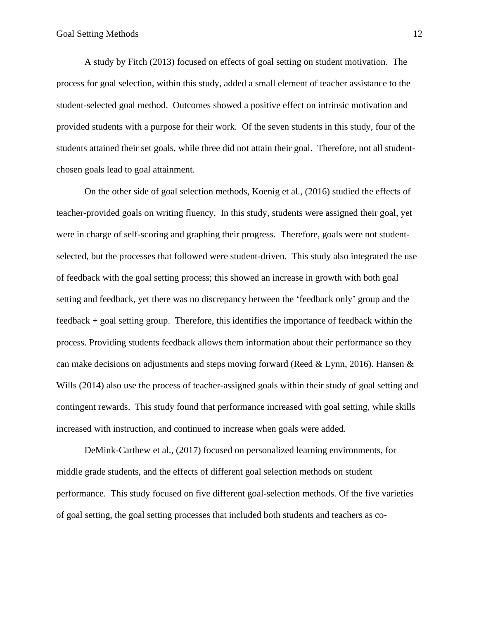A study by Fitch (2013) focused on effects of goal setting on student motivation. The process for goal selection, within this study, added a small element of teacher assistance to the student-selected goal method. Outcomes showed a positive effect on intrinsic motivation and provided students with a purpose for their work. Of the seven students in this study, four of the students attained their set goals, while three did not attain their goal. Therefore, not all studentchosen goals lead to goal attainment.

On the other side of goal selection methods, Koenig et al., (2016) studied the effects of teacher-provided goals on writing fluency. In this study, students were assigned their goal, yet were in charge of self-scoring and graphing their progress. Therefore, goals were not studentselected, but the processes that followed were student-driven. This study also integrated the use of feedback with the goal setting process; this showed an increase in growth with both goal setting and feedback, yet there was no discrepancy between the 'feedback only' group and the feedback + goal setting group. Therefore, this identifies the importance of feedback within the process. Providing students feedback allows them information about their performance so they can make decisions on adjustments and steps moving forward (Reed & Lynn, 2016). Hansen & Wills (2014) also use the process of teacher-assigned goals within their study of goal setting and contingent rewards. This study found that performance increased with goal setting, while skills increased with instruction, and continued to increase when goals were added.

DeMink-Carthew et al., (2017) focused on personalized learning environments, for middle grade students, and the effects of different goal selection methods on student performance. This study focused on five different goal-selection methods. Of the five varieties of goal setting, the goal setting processes that included both students and teachers as co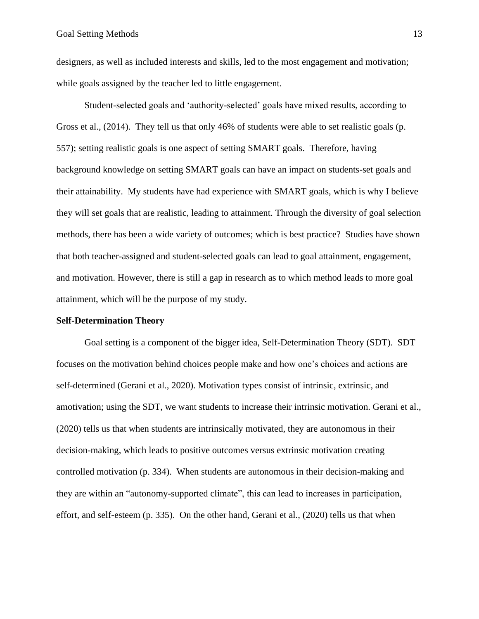designers, as well as included interests and skills, led to the most engagement and motivation; while goals assigned by the teacher led to little engagement.

Student-selected goals and 'authority-selected' goals have mixed results, according to Gross et al., (2014). They tell us that only 46% of students were able to set realistic goals (p. 557); setting realistic goals is one aspect of setting SMART goals. Therefore, having background knowledge on setting SMART goals can have an impact on students-set goals and their attainability. My students have had experience with SMART goals, which is why I believe they will set goals that are realistic, leading to attainment. Through the diversity of goal selection methods, there has been a wide variety of outcomes; which is best practice? Studies have shown that both teacher-assigned and student-selected goals can lead to goal attainment, engagement, and motivation. However, there is still a gap in research as to which method leads to more goal attainment, which will be the purpose of my study.

#### **Self-Determination Theory**

Goal setting is a component of the bigger idea, Self-Determination Theory (SDT). SDT focuses on the motivation behind choices people make and how one's choices and actions are self-determined (Gerani et al., 2020). Motivation types consist of intrinsic, extrinsic, and amotivation; using the SDT, we want students to increase their intrinsic motivation. Gerani et al., (2020) tells us that when students are intrinsically motivated, they are autonomous in their decision-making, which leads to positive outcomes versus extrinsic motivation creating controlled motivation (p. 334). When students are autonomous in their decision-making and they are within an "autonomy-supported climate", this can lead to increases in participation, effort, and self-esteem (p. 335). On the other hand, Gerani et al., (2020) tells us that when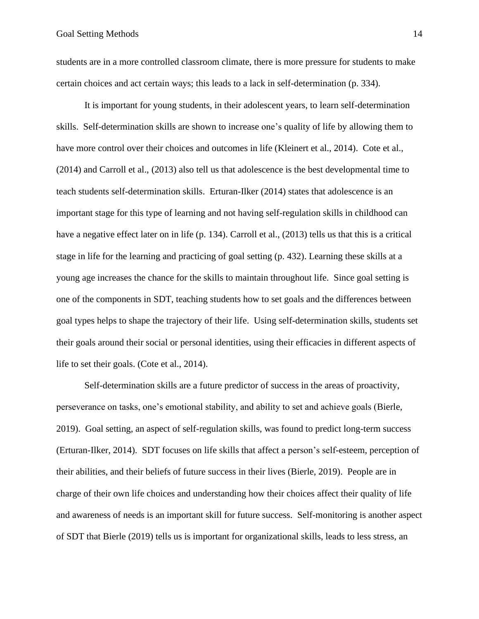students are in a more controlled classroom climate, there is more pressure for students to make certain choices and act certain ways; this leads to a lack in self-determination (p. 334).

It is important for young students, in their adolescent years, to learn self-determination skills. Self-determination skills are shown to increase one's quality of life by allowing them to have more control over their choices and outcomes in life (Kleinert et al., 2014). Cote et al., (2014) and Carroll et al., (2013) also tell us that adolescence is the best developmental time to teach students self-determination skills. Erturan-Ilker (2014) states that adolescence is an important stage for this type of learning and not having self-regulation skills in childhood can have a negative effect later on in life (p. 134). Carroll et al., (2013) tells us that this is a critical stage in life for the learning and practicing of goal setting (p. 432). Learning these skills at a young age increases the chance for the skills to maintain throughout life. Since goal setting is one of the components in SDT, teaching students how to set goals and the differences between goal types helps to shape the trajectory of their life. Using self-determination skills, students set their goals around their social or personal identities, using their efficacies in different aspects of life to set their goals. (Cote et al., 2014).

Self-determination skills are a future predictor of success in the areas of proactivity, perseverance on tasks, one's emotional stability, and ability to set and achieve goals (Bierle, 2019). Goal setting, an aspect of self-regulation skills, was found to predict long-term success (Erturan-Ilker, 2014). SDT focuses on life skills that affect a person's self-esteem, perception of their abilities, and their beliefs of future success in their lives (Bierle, 2019). People are in charge of their own life choices and understanding how their choices affect their quality of life and awareness of needs is an important skill for future success. Self-monitoring is another aspect of SDT that Bierle (2019) tells us is important for organizational skills, leads to less stress, an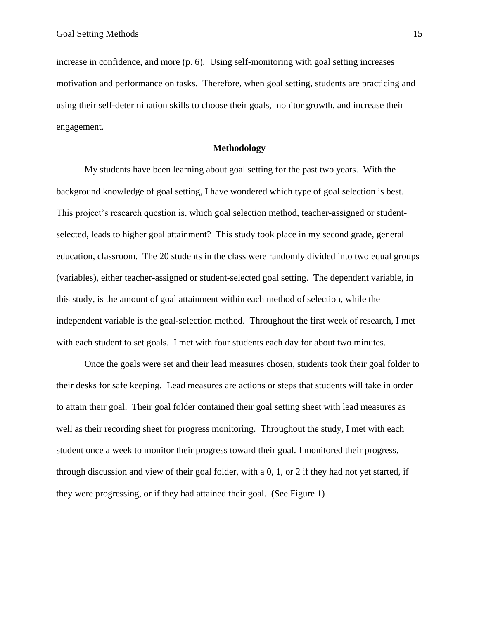increase in confidence, and more (p. 6). Using self-monitoring with goal setting increases motivation and performance on tasks. Therefore, when goal setting, students are practicing and using their self-determination skills to choose their goals, monitor growth, and increase their engagement.

#### <span id="page-15-0"></span>**Methodology**

My students have been learning about goal setting for the past two years. With the background knowledge of goal setting, I have wondered which type of goal selection is best. This project's research question is, which goal selection method, teacher-assigned or studentselected, leads to higher goal attainment? This study took place in my second grade, general education, classroom. The 20 students in the class were randomly divided into two equal groups (variables), either teacher-assigned or student-selected goal setting. The dependent variable, in this study, is the amount of goal attainment within each method of selection, while the independent variable is the goal-selection method. Throughout the first week of research, I met with each student to set goals. I met with four students each day for about two minutes.

Once the goals were set and their lead measures chosen, students took their goal folder to their desks for safe keeping. Lead measures are actions or steps that students will take in order to attain their goal. Their goal folder contained their goal setting sheet with lead measures as well as their recording sheet for progress monitoring. Throughout the study, I met with each student once a week to monitor their progress toward their goal. I monitored their progress, through discussion and view of their goal folder, with a 0, 1, or 2 if they had not yet started, if they were progressing, or if they had attained their goal. (See Figure 1)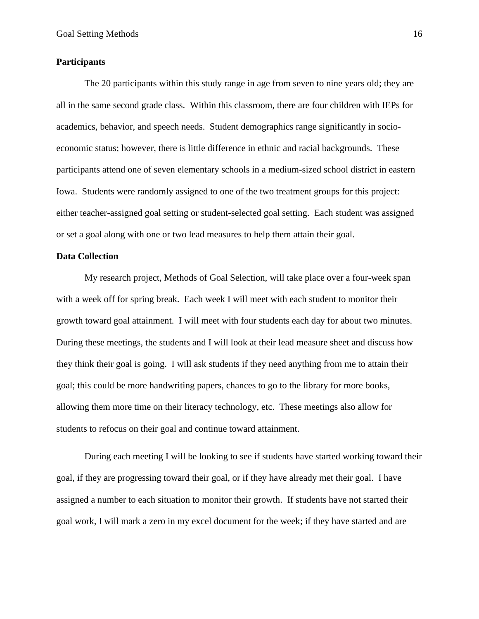#### **Participants**

The 20 participants within this study range in age from seven to nine years old; they are all in the same second grade class. Within this classroom, there are four children with IEPs for academics, behavior, and speech needs. Student demographics range significantly in socioeconomic status; however, there is little difference in ethnic and racial backgrounds. These participants attend one of seven elementary schools in a medium-sized school district in eastern Iowa. Students were randomly assigned to one of the two treatment groups for this project: either teacher-assigned goal setting or student-selected goal setting. Each student was assigned or set a goal along with one or two lead measures to help them attain their goal.

#### <span id="page-16-0"></span>**Data Collection**

My research project, Methods of Goal Selection, will take place over a four-week span with a week off for spring break. Each week I will meet with each student to monitor their growth toward goal attainment. I will meet with four students each day for about two minutes. During these meetings, the students and I will look at their lead measure sheet and discuss how they think their goal is going. I will ask students if they need anything from me to attain their goal; this could be more handwriting papers, chances to go to the library for more books, allowing them more time on their literacy technology, etc. These meetings also allow for students to refocus on their goal and continue toward attainment.

During each meeting I will be looking to see if students have started working toward their goal, if they are progressing toward their goal, or if they have already met their goal. I have assigned a number to each situation to monitor their growth. If students have not started their goal work, I will mark a zero in my excel document for the week; if they have started and are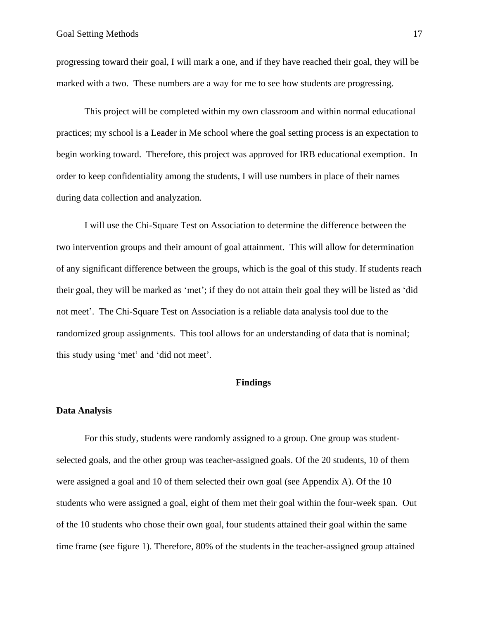progressing toward their goal, I will mark a one, and if they have reached their goal, they will be marked with a two. These numbers are a way for me to see how students are progressing.

This project will be completed within my own classroom and within normal educational practices; my school is a Leader in Me school where the goal setting process is an expectation to begin working toward. Therefore, this project was approved for IRB educational exemption. In order to keep confidentiality among the students, I will use numbers in place of their names during data collection and analyzation.

I will use the Chi-Square Test on Association to determine the difference between the two intervention groups and their amount of goal attainment. This will allow for determination of any significant difference between the groups, which is the goal of this study. If students reach their goal, they will be marked as 'met'; if they do not attain their goal they will be listed as 'did not meet'. The Chi-Square Test on Association is a reliable data analysis tool due to the randomized group assignments. This tool allows for an understanding of data that is nominal; this study using 'met' and 'did not meet'.

## <span id="page-17-1"></span><span id="page-17-0"></span>**Findings**

#### **Data Analysis**

For this study, students were randomly assigned to a group. One group was studentselected goals, and the other group was teacher-assigned goals. Of the 20 students, 10 of them were assigned a goal and 10 of them selected their own goal (see Appendix A). Of the 10 students who were assigned a goal, eight of them met their goal within the four-week span. Out of the 10 students who chose their own goal, four students attained their goal within the same time frame (see figure 1). Therefore, 80% of the students in the teacher-assigned group attained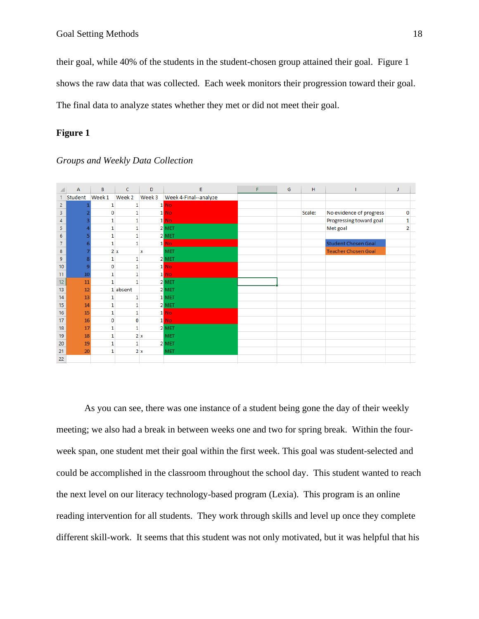their goal, while 40% of the students in the student-chosen group attained their goal. Figure 1 shows the raw data that was collected. Each week monitors their progression toward their goal. The final data to analyze states whether they met or did not meet their goal.

## **Figure 1**

|                | A       | B            | c            | D      | E                     | F | G | H      |                            | J              |  |
|----------------|---------|--------------|--------------|--------|-----------------------|---|---|--------|----------------------------|----------------|--|
| 1.             | Student | Week 1       | Week 2       | Week 3 | Week 4-Final--analyze |   |   |        |                            |                |  |
| $\overline{c}$ |         |              |              |        | $1$ No                |   |   |        |                            |                |  |
| 3              |         | 0            |              |        | $1$ No                |   |   | Scale: | No evidence of progress    | 0              |  |
| 4              |         | 1            |              |        | $1$ No                |   |   |        | Progressing toward goal    |                |  |
| 5              |         | $\mathbf{1}$ | 1            |        | 2 MET                 |   |   |        | Met goal                   | $\overline{2}$ |  |
| 6              |         | 1            | 1            |        | 2 MET                 |   |   |        |                            |                |  |
| $\overline{7}$ |         | $\mathbf{1}$ | 1            |        | $1$ No                |   |   |        | <b>Student Chosen Goal</b> |                |  |
| 8              |         |              | 2x           | x      | <b>MET</b>            |   |   |        | <b>Teacher Chosen Goal</b> |                |  |
| 9              |         | $\mathbf{1}$ | 1            |        | 2 MET                 |   |   |        |                            |                |  |
| 10             | 9       | $\mathbf{0}$ | 1            |        | $1$ No                |   |   |        |                            |                |  |
| 11             | 10      | 1            | $\mathbf{1}$ |        | $1$ No                |   |   |        |                            |                |  |
| 12             | 11      | 1            | 1            |        | $2$ MET               |   |   |        |                            |                |  |
| 13             | 12      |              | 1 absent     |        | 2 MET                 |   |   |        |                            |                |  |
| 14             | 13      |              |              |        | 1 MET                 |   |   |        |                            |                |  |
| 15             | 14      | 1            | 1            |        | 2 MET                 |   |   |        |                            |                |  |
| 16             | 15      | $\mathbf{1}$ | 1            |        | $1$ No                |   |   |        |                            |                |  |
| 17             | 16      | $\mathbf{0}$ | 0            |        | $1$ No                |   |   |        |                            |                |  |
| 18             | 17      | $\mathbf{1}$ | $\mathbf{1}$ |        | 2 MET                 |   |   |        |                            |                |  |
| 19             | 18      | 1            |              | 2x     | <b>MET</b>            |   |   |        |                            |                |  |
| 20             | 19      | 1            | 1            |        | 2 MET                 |   |   |        |                            |                |  |
| 21             | 20      | 1            |              | 2x     | <b>MET</b>            |   |   |        |                            |                |  |
| 22             |         |              |              |        |                       |   |   |        |                            |                |  |

## *Groups and Weekly Data Collection*

As you can see, there was one instance of a student being gone the day of their weekly meeting; we also had a break in between weeks one and two for spring break. Within the fourweek span, one student met their goal within the first week. This goal was student-selected and could be accomplished in the classroom throughout the school day. This student wanted to reach the next level on our literacy technology-based program (Lexia). This program is an online reading intervention for all students. They work through skills and level up once they complete different skill-work. It seems that this student was not only motivated, but it was helpful that his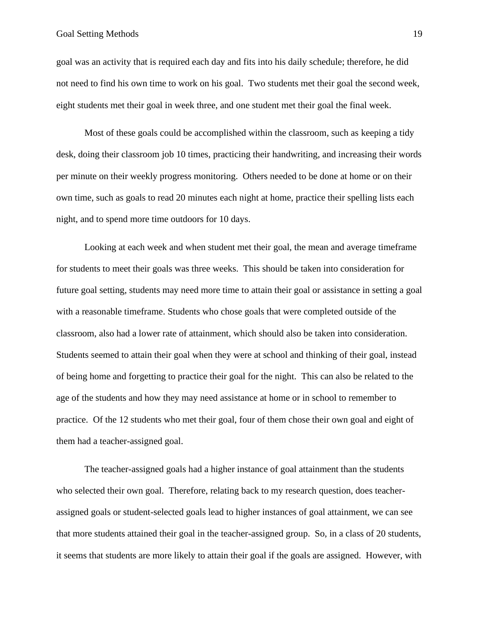goal was an activity that is required each day and fits into his daily schedule; therefore, he did not need to find his own time to work on his goal. Two students met their goal the second week, eight students met their goal in week three, and one student met their goal the final week.

Most of these goals could be accomplished within the classroom, such as keeping a tidy desk, doing their classroom job 10 times, practicing their handwriting, and increasing their words per minute on their weekly progress monitoring. Others needed to be done at home or on their own time, such as goals to read 20 minutes each night at home, practice their spelling lists each night, and to spend more time outdoors for 10 days.

Looking at each week and when student met their goal, the mean and average timeframe for students to meet their goals was three weeks. This should be taken into consideration for future goal setting, students may need more time to attain their goal or assistance in setting a goal with a reasonable timeframe. Students who chose goals that were completed outside of the classroom, also had a lower rate of attainment, which should also be taken into consideration. Students seemed to attain their goal when they were at school and thinking of their goal, instead of being home and forgetting to practice their goal for the night. This can also be related to the age of the students and how they may need assistance at home or in school to remember to practice. Of the 12 students who met their goal, four of them chose their own goal and eight of them had a teacher-assigned goal.

The teacher-assigned goals had a higher instance of goal attainment than the students who selected their own goal. Therefore, relating back to my research question, does teacherassigned goals or student-selected goals lead to higher instances of goal attainment, we can see that more students attained their goal in the teacher-assigned group. So, in a class of 20 students, it seems that students are more likely to attain their goal if the goals are assigned. However, with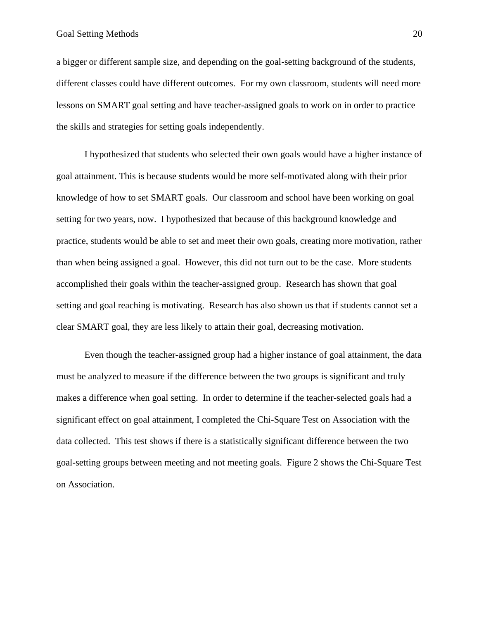#### Goal Setting Methods 20

a bigger or different sample size, and depending on the goal-setting background of the students, different classes could have different outcomes. For my own classroom, students will need more lessons on SMART goal setting and have teacher-assigned goals to work on in order to practice the skills and strategies for setting goals independently.

I hypothesized that students who selected their own goals would have a higher instance of goal attainment. This is because students would be more self-motivated along with their prior knowledge of how to set SMART goals. Our classroom and school have been working on goal setting for two years, now. I hypothesized that because of this background knowledge and practice, students would be able to set and meet their own goals, creating more motivation, rather than when being assigned a goal. However, this did not turn out to be the case. More students accomplished their goals within the teacher-assigned group. Research has shown that goal setting and goal reaching is motivating. Research has also shown us that if students cannot set a clear SMART goal, they are less likely to attain their goal, decreasing motivation.

Even though the teacher-assigned group had a higher instance of goal attainment, the data must be analyzed to measure if the difference between the two groups is significant and truly makes a difference when goal setting. In order to determine if the teacher-selected goals had a significant effect on goal attainment, I completed the Chi-Square Test on Association with the data collected. This test shows if there is a statistically significant difference between the two goal-setting groups between meeting and not meeting goals. Figure 2 shows the Chi-Square Test on Association.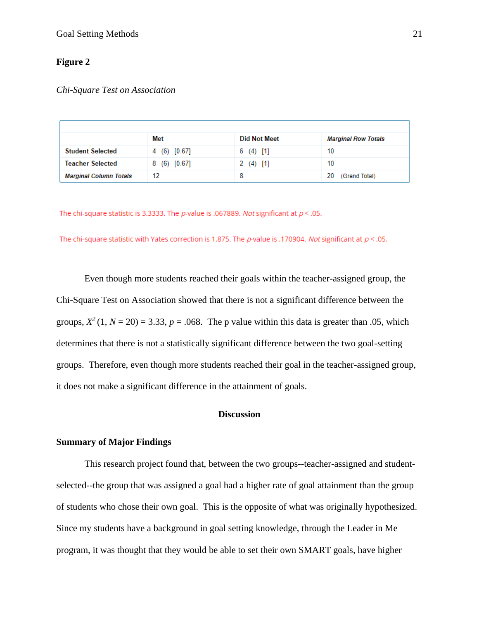## **Figure 2**

#### *Chi-Square Test on Association*

|                               | Met                  | <b>Did Not Meet</b> | <b>Marginal Row Totals</b> |
|-------------------------------|----------------------|---------------------|----------------------------|
| <b>Student Selected</b>       | 4 (6) [0.67]         | $6(4)$ [1]          | 10                         |
| Teacher Selected              | $(6)$ $[0.67]$<br>8. | $2(4)$ [1]          | 10                         |
| <b>Marginal Column Totals</b> | 12                   | 8                   | (Grand Total)<br>20        |

The chi-square statistic is 3.3333. The p-value is .067889. Not significant at  $p <$  .05.

The chi-square statistic with Yates correction is 1.875. The p-value is .170904. Not significant at  $p < 0.05$ .

Even though more students reached their goals within the teacher-assigned group, the Chi-Square Test on Association showed that there is not a significant difference between the groups,  $X^2$  (1,  $N = 20$ ) = 3.33,  $p = .068$ . The p value within this data is greater than .05, which determines that there is not a statistically significant difference between the two goal-setting groups. Therefore, even though more students reached their goal in the teacher-assigned group, it does not make a significant difference in the attainment of goals.

## <span id="page-21-0"></span>**Discussion**

#### <span id="page-21-1"></span>**Summary of Major Findings**

This research project found that, between the two groups--teacher-assigned and studentselected--the group that was assigned a goal had a higher rate of goal attainment than the group of students who chose their own goal. This is the opposite of what was originally hypothesized. Since my students have a background in goal setting knowledge, through the Leader in Me program, it was thought that they would be able to set their own SMART goals, have higher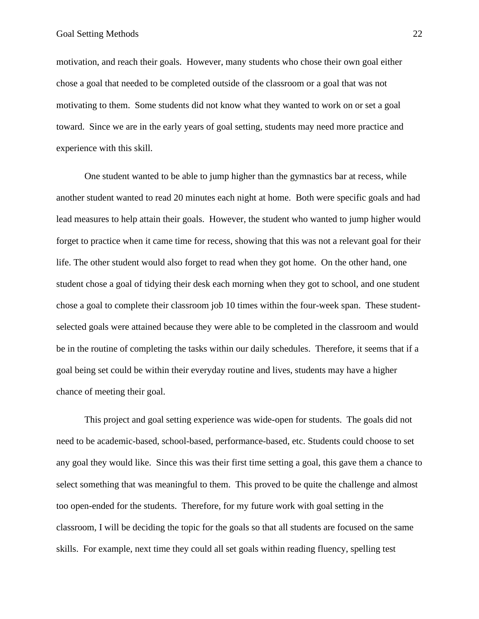motivation, and reach their goals. However, many students who chose their own goal either chose a goal that needed to be completed outside of the classroom or a goal that was not motivating to them. Some students did not know what they wanted to work on or set a goal toward. Since we are in the early years of goal setting, students may need more practice and experience with this skill.

One student wanted to be able to jump higher than the gymnastics bar at recess, while another student wanted to read 20 minutes each night at home. Both were specific goals and had lead measures to help attain their goals. However, the student who wanted to jump higher would forget to practice when it came time for recess, showing that this was not a relevant goal for their life. The other student would also forget to read when they got home. On the other hand, one student chose a goal of tidying their desk each morning when they got to school, and one student chose a goal to complete their classroom job 10 times within the four-week span. These studentselected goals were attained because they were able to be completed in the classroom and would be in the routine of completing the tasks within our daily schedules. Therefore, it seems that if a goal being set could be within their everyday routine and lives, students may have a higher chance of meeting their goal.

This project and goal setting experience was wide-open for students. The goals did not need to be academic-based, school-based, performance-based, etc. Students could choose to set any goal they would like. Since this was their first time setting a goal, this gave them a chance to select something that was meaningful to them. This proved to be quite the challenge and almost too open-ended for the students. Therefore, for my future work with goal setting in the classroom, I will be deciding the topic for the goals so that all students are focused on the same skills. For example, next time they could all set goals within reading fluency, spelling test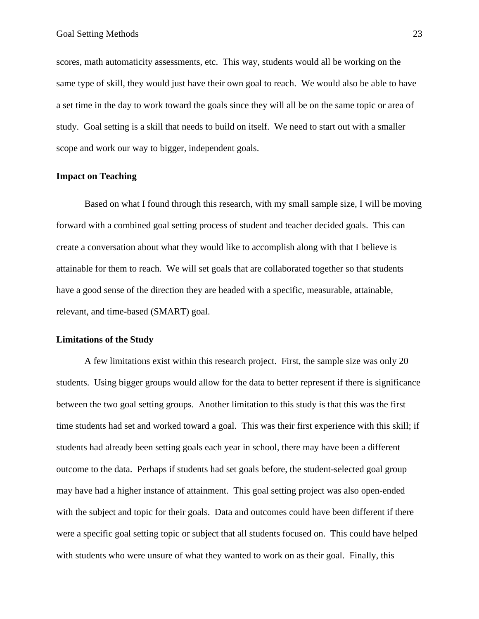scores, math automaticity assessments, etc. This way, students would all be working on the same type of skill, they would just have their own goal to reach. We would also be able to have a set time in the day to work toward the goals since they will all be on the same topic or area of study. Goal setting is a skill that needs to build on itself. We need to start out with a smaller scope and work our way to bigger, independent goals.

## **Impact on Teaching**

Based on what I found through this research, with my small sample size, I will be moving forward with a combined goal setting process of student and teacher decided goals. This can create a conversation about what they would like to accomplish along with that I believe is attainable for them to reach. We will set goals that are collaborated together so that students have a good sense of the direction they are headed with a specific, measurable, attainable, relevant, and time-based (SMART) goal.

## <span id="page-23-0"></span>**Limitations of the Study**

A few limitations exist within this research project. First, the sample size was only 20 students. Using bigger groups would allow for the data to better represent if there is significance between the two goal setting groups. Another limitation to this study is that this was the first time students had set and worked toward a goal. This was their first experience with this skill; if students had already been setting goals each year in school, there may have been a different outcome to the data. Perhaps if students had set goals before, the student-selected goal group may have had a higher instance of attainment. This goal setting project was also open-ended with the subject and topic for their goals. Data and outcomes could have been different if there were a specific goal setting topic or subject that all students focused on. This could have helped with students who were unsure of what they wanted to work on as their goal. Finally, this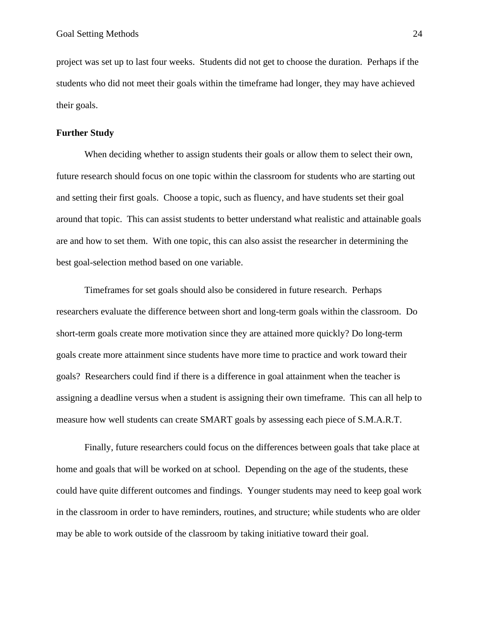project was set up to last four weeks. Students did not get to choose the duration. Perhaps if the students who did not meet their goals within the timeframe had longer, they may have achieved their goals.

#### <span id="page-24-0"></span>**Further Study**

When deciding whether to assign students their goals or allow them to select their own, future research should focus on one topic within the classroom for students who are starting out and setting their first goals. Choose a topic, such as fluency, and have students set their goal around that topic. This can assist students to better understand what realistic and attainable goals are and how to set them. With one topic, this can also assist the researcher in determining the best goal-selection method based on one variable.

Timeframes for set goals should also be considered in future research. Perhaps researchers evaluate the difference between short and long-term goals within the classroom. Do short-term goals create more motivation since they are attained more quickly? Do long-term goals create more attainment since students have more time to practice and work toward their goals? Researchers could find if there is a difference in goal attainment when the teacher is assigning a deadline versus when a student is assigning their own timeframe. This can all help to measure how well students can create SMART goals by assessing each piece of S.M.A.R.T.

<span id="page-24-1"></span>Finally, future researchers could focus on the differences between goals that take place at home and goals that will be worked on at school. Depending on the age of the students, these could have quite different outcomes and findings. Younger students may need to keep goal work in the classroom in order to have reminders, routines, and structure; while students who are older may be able to work outside of the classroom by taking initiative toward their goal.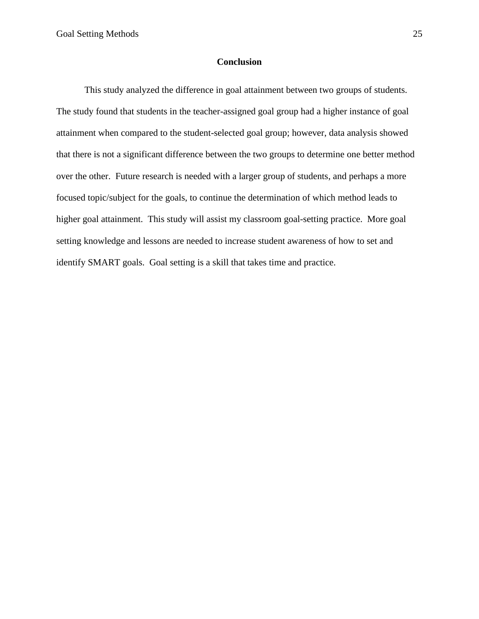## **Conclusion**

This study analyzed the difference in goal attainment between two groups of students. The study found that students in the teacher-assigned goal group had a higher instance of goal attainment when compared to the student-selected goal group; however, data analysis showed that there is not a significant difference between the two groups to determine one better method over the other. Future research is needed with a larger group of students, and perhaps a more focused topic/subject for the goals, to continue the determination of which method leads to higher goal attainment. This study will assist my classroom goal-setting practice. More goal setting knowledge and lessons are needed to increase student awareness of how to set and identify SMART goals. Goal setting is a skill that takes time and practice.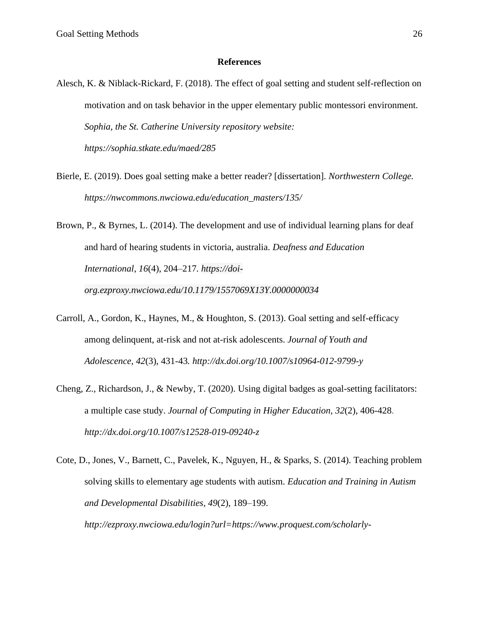#### **References**

- <span id="page-26-0"></span>Alesch, K. & Niblack-Rickard, F. (2018). The effect of goal setting and student self-reflection on motivation and on task behavior in the upper elementary public montessori environment. *Sophia, the St. Catherine University repository website: <https://sophia.stkate.edu/maed/285>*
- Bierle, E. (2019). Does goal setting make a better reader? [dissertation]. *Northwestern College. [https://nwcommons.nwciowa.edu/education\\_masters/135/](https://nwcommons.nwciowa.edu/education_masters/135/)*
- Brown, P., & Byrnes, L. (2014). The development and use of individual learning plans for deaf and hard of hearing students in victoria, australia. *Deafness and Education International*, *16*(4), 204–217*. [https://doi](https://doi-org.ezproxy.nwciowa.edu/10.1179/1557069X13Y.0000000034)[org.ezproxy.nwciowa.edu/10.1179/1557069X13Y.0000000034](https://doi-org.ezproxy.nwciowa.edu/10.1179/1557069X13Y.0000000034)*
- Carroll, A., Gordon, K., Haynes, M., & Houghton, S. (2013). Goal setting and self-efficacy among delinquent, at-risk and not at-risk adolescents. *Journal of Youth and Adolescence, 42*(3), 431-43*.<http://dx.doi.org/10.1007/s10964-012-9799-y>*
- Cheng, Z., Richardson, J., & Newby, T. (2020). Using digital badges as goal-setting facilitators: a multiple case study. *Journal of Computing in Higher Education, 32*(2), 406-428. *<http://dx.doi.org/10.1007/s12528-019-09240-z>*
- Cote, D., Jones, V., Barnett, C., Pavelek, K., Nguyen, H., & Sparks, S. (2014). Teaching problem solving skills to elementary age students with autism. *Education and Training in Autism and Developmental Disabilities*, *49*(2), 189–199. *[http://ezproxy.nwciowa.edu/login?url=https://www.proquest.com/scholarly-](http://ezproxy.nwciowa.edu/login?url=https://www.proquest.com/scholarly-journals/teaching-problem-solving-skills-elementary-age/docview/1526125211/se-2?accountid=28306)*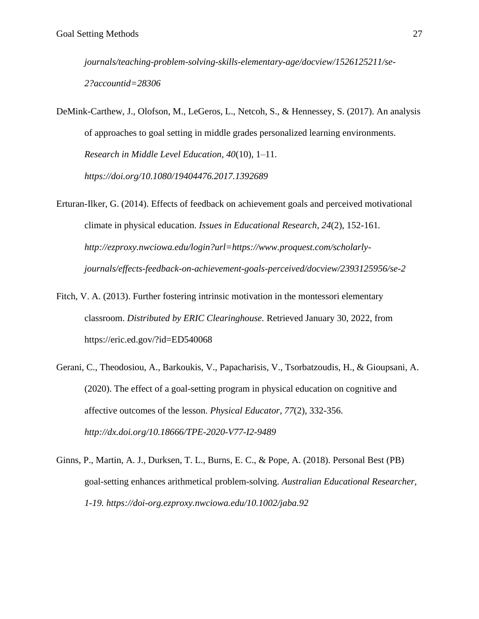*[journals/teaching-problem-solving-skills-elementary-age/docview/1526125211/se-](http://ezproxy.nwciowa.edu/login?url=https://www.proquest.com/scholarly-journals/teaching-problem-solving-skills-elementary-age/docview/1526125211/se-2?accountid=28306)[2?accountid=28306](http://ezproxy.nwciowa.edu/login?url=https://www.proquest.com/scholarly-journals/teaching-problem-solving-skills-elementary-age/docview/1526125211/se-2?accountid=28306)*

DeMink-Carthew, J., Olofson, M., LeGeros, L., Netcoh, S., & Hennessey, S. (2017). An analysis of approaches to goal setting in middle grades personalized learning environments. *Research in Middle Level Education, 40*(10), 1–11*. <https://doi.org/10.1080/19404476.2017.1392689>*

Erturan-Ilker, G. (2014). Effects of feedback on achievement goals and perceived motivational climate in physical education. *Issues in Educational Research, 24*(2), 152-161*. [http://ezproxy.nwciowa.edu/login?url=https://www.proquest.com/scholarly](http://ezproxy.nwciowa.edu/login?url=https://www.proquest.com/scholarly-journals/effects-feedback-on-achievement-goals-perceived/docview/2393125956/se-2)[journals/effects-feedback-on-achievement-goals-perceived/docview/2393125956/se-2](http://ezproxy.nwciowa.edu/login?url=https://www.proquest.com/scholarly-journals/effects-feedback-on-achievement-goals-perceived/docview/2393125956/se-2)*

- Fitch, V. A. (2013). Further fostering intrinsic motivation in the montessori elementary classroom. *Distributed by ERIC Clearinghouse.* Retrieved January 30, 2022, from <https://eric.ed.gov/?id=ED540068>
- Gerani, C., Theodosiou, A., Barkoukis, V., Papacharisis, V., Tsorbatzoudis, H., & Gioupsani, A. (2020). The effect of a goal-setting program in physical education on cognitive and affective outcomes of the lesson. *Physical Educator, 77*(2), 332-356. *<http://dx.doi.org/10.18666/TPE-2020-V77-I2-9489>*
- Ginns, P., Martin, A. J., Durksen, T. L., Burns, E. C., & Pope, A. (2018). Personal Best (PB) goal-setting enhances arithmetical problem-solving. *Australian Educational Researcher, 1-19.<https://doi-org.ezproxy.nwciowa.edu/10.1002/jaba.92>*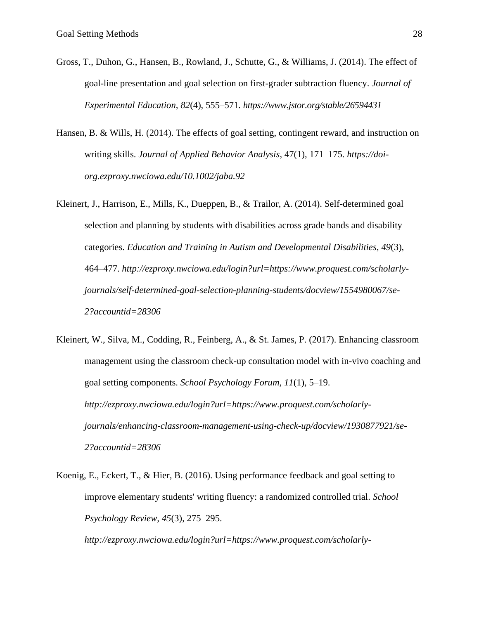- Gross, T., Duhon, G., Hansen, B., Rowland, J., Schutte, G., & Williams, J. (2014). The effect of goal-line presentation and goal selection on first-grader subtraction fluency. *Journal of Experimental Education, 82*(4), 555–571*.<https://www.jstor.org/stable/26594431>*
- Hansen, B. & Wills, H. (2014). The effects of goal setting, contingent reward, and instruction on writing skills. *Journal of Applied Behavior Analysis*, 47(1), 171–175. *[https://doi](https://doi-org.ezproxy.nwciowa.edu/10.1002/jaba.92)[org.ezproxy.nwciowa.edu/10.1002/jaba.92](https://doi-org.ezproxy.nwciowa.edu/10.1002/jaba.92)*
- Kleinert, J., Harrison, E., Mills, K., Dueppen, B., & Trailor, A. (2014). Self-determined goal selection and planning by students with disabilities across grade bands and disability categories. *Education and Training in Autism and Developmental Disabilities*, *49*(3), 464–477. *[http://ezproxy.nwciowa.edu/login?url=https://www.proquest.com/scholarly](http://ezproxy.nwciowa.edu/login?url=https://www.proquest.com/scholarly-journals/self-determined-goal-selection-planning-students/docview/1554980067/se-2?accountid=28306)[journals/self-determined-goal-selection-planning-students/docview/1554980067/se-](http://ezproxy.nwciowa.edu/login?url=https://www.proquest.com/scholarly-journals/self-determined-goal-selection-planning-students/docview/1554980067/se-2?accountid=28306)[2?accountid=28306](http://ezproxy.nwciowa.edu/login?url=https://www.proquest.com/scholarly-journals/self-determined-goal-selection-planning-students/docview/1554980067/se-2?accountid=28306)*
- Kleinert, W., Silva, M., Codding, R., Feinberg, A., & St. James, P. (2017). Enhancing classroom management using the classroom check-up consultation model with in-vivo coaching and goal setting components. *School Psychology Forum*, *11*(1), 5–19. *[http://ezproxy.nwciowa.edu/login?url=https://www.proquest.com/scholarly](http://ezproxy.nwciowa.edu/login?url=https://www.proquest.com/scholarly-journals/enhancing-classroom-management-using-check-up/docview/1930877921/se-2?accountid=28306)[journals/enhancing-classroom-management-using-check-up/docview/1930877921/se-](http://ezproxy.nwciowa.edu/login?url=https://www.proquest.com/scholarly-journals/enhancing-classroom-management-using-check-up/docview/1930877921/se-2?accountid=28306)[2?accountid=28306](http://ezproxy.nwciowa.edu/login?url=https://www.proquest.com/scholarly-journals/enhancing-classroom-management-using-check-up/docview/1930877921/se-2?accountid=28306)*
- Koenig, E., Eckert, T., & Hier, B. (2016). Using performance feedback and goal setting to improve elementary students' writing fluency: a randomized controlled trial. *School Psychology Review, 45*(3), 275–295.

*[http://ezproxy.nwciowa.edu/login?url=https://www.proquest.com/scholarly-](http://ezproxy.nwciowa.edu/login?url=https://www.proquest.com/scholarly-journals/using-performance-feedback-goal-setting-improve/docview/2087745314/se-2?accountid=28306)*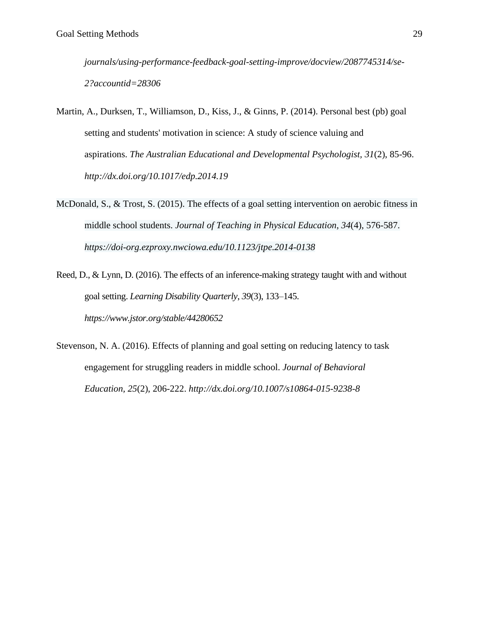*[journals/using-performance-feedback-goal-setting-improve/docview/2087745314/se-](http://ezproxy.nwciowa.edu/login?url=https://www.proquest.com/scholarly-journals/using-performance-feedback-goal-setting-improve/docview/2087745314/se-2?accountid=28306)[2?accountid=28306](http://ezproxy.nwciowa.edu/login?url=https://www.proquest.com/scholarly-journals/using-performance-feedback-goal-setting-improve/docview/2087745314/se-2?accountid=28306)*

- Martin, A., Durksen, T., Williamson, D., Kiss, J., & Ginns, P. (2014). Personal best (pb) goal setting and students' motivation in science: A study of science valuing and aspirations. *The Australian Educational and Developmental Psychologist, 31*(2), 85-96. *<http://dx.doi.org/10.1017/edp.2014.19>*
- McDonald, S., & Trost, S. (2015). The effects of a goal setting intervention on aerobic fitness in middle school students. *Journal of Teaching in Physical Education*, *34*(4), 576-587. *<https://doi-org.ezproxy.nwciowa.edu/10.1123/jtpe.2014-0138>*
- Reed, D., & Lynn, D. (2016). The effects of an inference-making strategy taught with and without goal setting. *Learning Disability Quarterly*, *39*(3), 133–145. *<https://www.jstor.org/stable/44280652>*
- Stevenson, N. A. (2016). Effects of planning and goal setting on reducing latency to task engagement for struggling readers in middle school. *Journal of Behavioral Education, 25*(2), 206-222. *<http://dx.doi.org/10.1007/s10864-015-9238-8>*